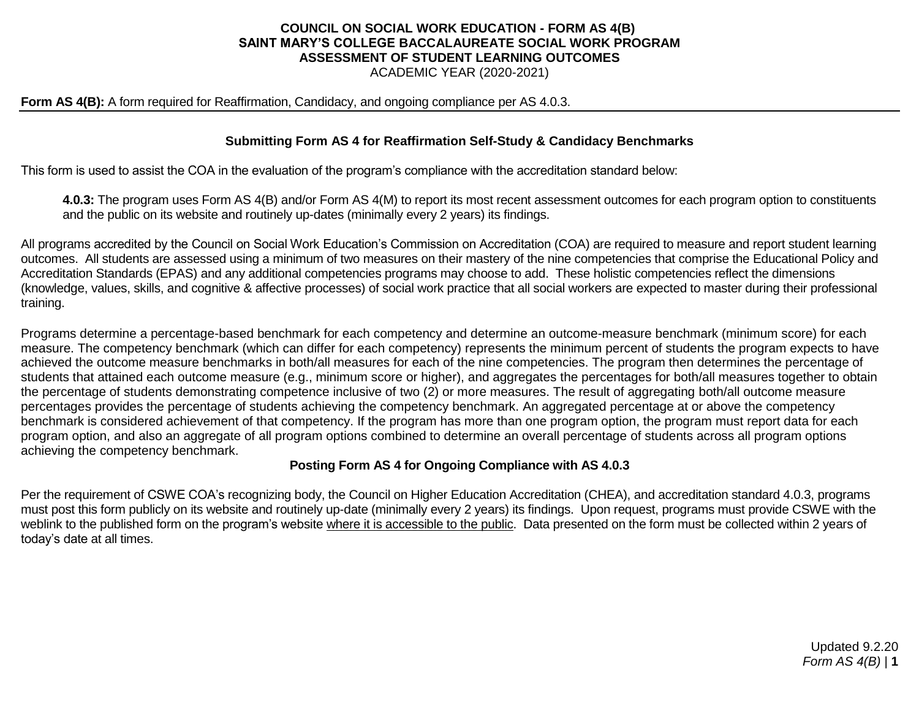# **COUNCIL ON SOCIAL WORK EDUCATION - FORM AS 4(B) SAINT MARY'S COLLEGE BACCALAUREATE SOCIAL WORK PROGRAM ASSESSMENT OF STUDENT LEARNING OUTCOMES**

ACADEMIC YEAR (2020-2021)

#### **Form AS 4(B):** A form required for Reaffirmation, Candidacy, and ongoing compliance per AS 4.0.3.

### **Submitting Form AS 4 for Reaffirmation Self-Study & Candidacy Benchmarks**

This form is used to assist the COA in the evaluation of the program's compliance with the accreditation standard below:

**4.0.3:** The program uses Form AS 4(B) and/or Form AS 4(M) to report its most recent assessment outcomes for each program option to constituents and the public on its website and routinely up-dates (minimally every 2 years) its findings.

All programs accredited by the Council on Social Work Education's Commission on Accreditation (COA) are required to measure and report student learning outcomes. All students are assessed using a minimum of two measures on their mastery of the nine competencies that comprise the Educational Policy and Accreditation Standards (EPAS) and any additional competencies programs may choose to add. These holistic competencies reflect the dimensions (knowledge, values, skills, and cognitive & affective processes) of social work practice that all social workers are expected to master during their professional training.

Programs determine a percentage-based benchmark for each competency and determine an outcome-measure benchmark (minimum score) for each measure. The competency benchmark (which can differ for each competency) represents the minimum percent of students the program expects to have achieved the outcome measure benchmarks in both/all measures for each of the nine competencies. The program then determines the percentage of students that attained each outcome measure (e.g., minimum score or higher), and aggregates the percentages for both/all measures together to obtain the percentage of students demonstrating competence inclusive of two (2) or more measures. The result of aggregating both/all outcome measure percentages provides the percentage of students achieving the competency benchmark. An aggregated percentage at or above the competency benchmark is considered achievement of that competency. If the program has more than one program option, the program must report data for each program option, and also an aggregate of all program options combined to determine an overall percentage of students across all program options achieving the competency benchmark.

#### **Posting Form AS 4 for Ongoing Compliance with AS 4.0.3**

Per the requirement of CSWE COA's recognizing body, the Council on Higher Education Accreditation (CHEA), and accreditation standard 4.0.3, programs must post this form publicly on its website and routinely up-date (minimally every 2 years) its findings. Upon request, programs must provide CSWE with the weblink to the published form on the program's website where it is accessible to the public. Data presented on the form must be collected within 2 years of today's date at all times.

> Updated 9.2.20 *Form AS 4(B)* | **1**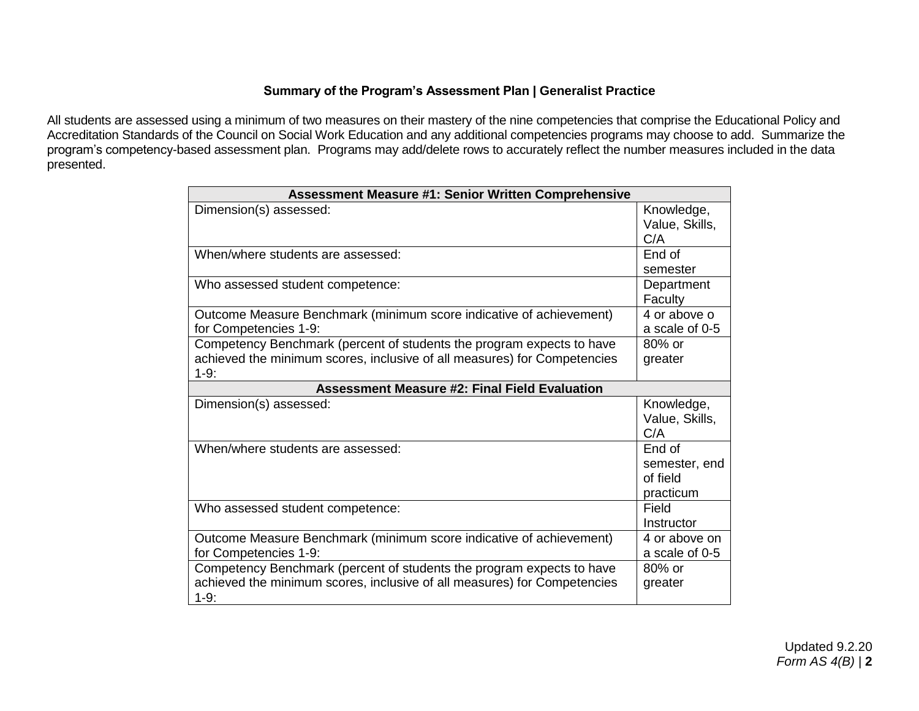## **Summary of the Program's Assessment Plan | Generalist Practice**

All students are assessed using a minimum of two measures on their mastery of the nine competencies that comprise the Educational Policy and Accreditation Standards of the Council on Social Work Education and any additional competencies programs may choose to add. Summarize the program's competency-based assessment plan. Programs may add/delete rows to accurately reflect the number measures included in the data presented.

| <b>Assessment Measure #1: Senior Written Comprehensive</b>                                                                                                  |                                                  |  |  |
|-------------------------------------------------------------------------------------------------------------------------------------------------------------|--------------------------------------------------|--|--|
| Dimension(s) assessed:                                                                                                                                      | Knowledge,<br>Value, Skills,<br>C/A              |  |  |
| When/where students are assessed:                                                                                                                           | End of<br>semester                               |  |  |
| Who assessed student competence:                                                                                                                            | Department<br>Faculty                            |  |  |
| Outcome Measure Benchmark (minimum score indicative of achievement)<br>for Competencies 1-9:                                                                | 4 or above o<br>a scale of 0-5                   |  |  |
| Competency Benchmark (percent of students the program expects to have<br>achieved the minimum scores, inclusive of all measures) for Competencies<br>$1-9:$ | $80\%$ or<br>greater                             |  |  |
| <b>Assessment Measure #2: Final Field Evaluation</b>                                                                                                        |                                                  |  |  |
| Dimension(s) assessed:                                                                                                                                      | Knowledge,<br>Value, Skills,<br>C/A              |  |  |
| When/where students are assessed:                                                                                                                           | End of<br>semester, end<br>of field<br>practicum |  |  |
| Who assessed student competence:                                                                                                                            | Field<br>Instructor                              |  |  |
| Outcome Measure Benchmark (minimum score indicative of achievement)<br>for Competencies 1-9:                                                                | 4 or above on<br>a scale of 0-5                  |  |  |
| Competency Benchmark (percent of students the program expects to have<br>achieved the minimum scores, inclusive of all measures) for Competencies<br>$1-9:$ | 80% or<br>greater                                |  |  |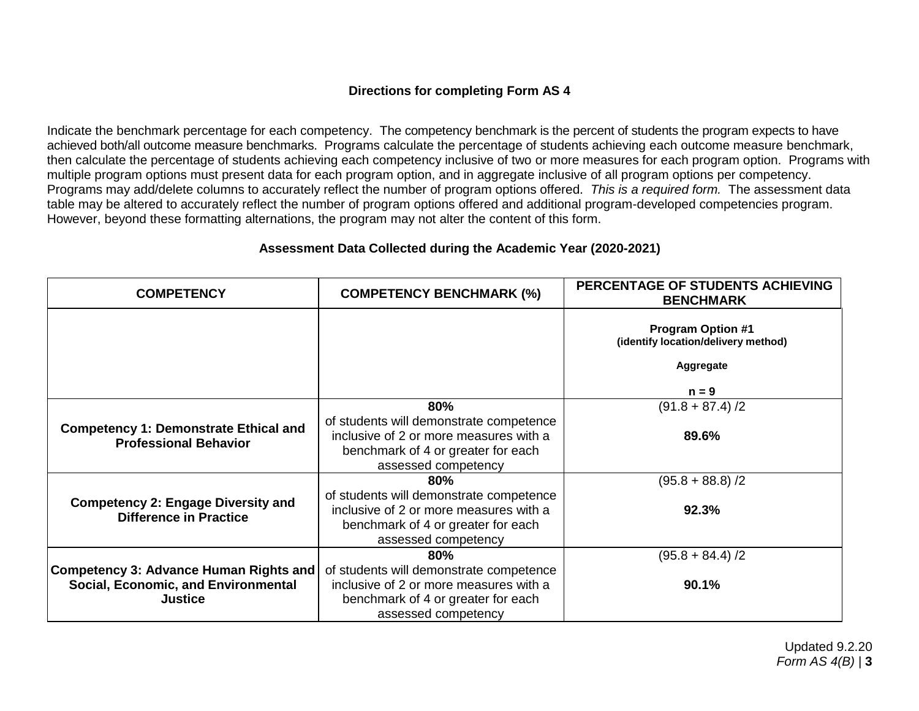## **Directions for completing Form AS 4**

Indicate the benchmark percentage for each competency. The competency benchmark is the percent of students the program expects to have achieved both/all outcome measure benchmarks. Programs calculate the percentage of students achieving each outcome measure benchmark, then calculate the percentage of students achieving each competency inclusive of two or more measures for each program option. Programs with multiple program options must present data for each program option, and in aggregate inclusive of all program options per competency. Programs may add/delete columns to accurately reflect the number of program options offered. *This is a required form.* The assessment data table may be altered to accurately reflect the number of program options offered and additional program-developed competencies program. However, beyond these formatting alternations, the program may not alter the content of this form.

|  | Assessment Data Collected during the Academic Year (2020-2021) |  |  |  |
|--|----------------------------------------------------------------|--|--|--|
|--|----------------------------------------------------------------|--|--|--|

| <b>COMPETENCY</b>                                                            | <b>COMPETENCY BENCHMARK (%)</b>                                                                                                                | PERCENTAGE OF STUDENTS ACHIEVING<br><b>BENCHMARK</b>            |
|------------------------------------------------------------------------------|------------------------------------------------------------------------------------------------------------------------------------------------|-----------------------------------------------------------------|
|                                                                              |                                                                                                                                                | <b>Program Option #1</b><br>(identify location/delivery method) |
|                                                                              |                                                                                                                                                | Aggregate                                                       |
|                                                                              |                                                                                                                                                | $n = 9$                                                         |
|                                                                              | 80%                                                                                                                                            | $(91.8 + 87.4)/2$                                               |
| <b>Competency 1: Demonstrate Ethical and</b><br><b>Professional Behavior</b> | of students will demonstrate competence<br>inclusive of 2 or more measures with a<br>benchmark of 4 or greater for each<br>assessed competency | 89.6%                                                           |
|                                                                              | $80\%$                                                                                                                                         | $(95.8 + 88.8)$ /2                                              |
| <b>Competency 2: Engage Diversity and</b><br><b>Difference in Practice</b>   | of students will demonstrate competence<br>inclusive of 2 or more measures with a<br>benchmark of 4 or greater for each                        | 92.3%                                                           |
|                                                                              | assessed competency                                                                                                                            |                                                                 |
|                                                                              | 80%                                                                                                                                            | $(95.8 + 84.4)/2$                                               |
| <b>Competency 3: Advance Human Rights and</b>                                | of students will demonstrate competence                                                                                                        |                                                                 |
| Social, Economic, and Environmental                                          | inclusive of 2 or more measures with a                                                                                                         | 90.1%                                                           |
| <b>Justice</b>                                                               | benchmark of 4 or greater for each<br>assessed competency                                                                                      |                                                                 |